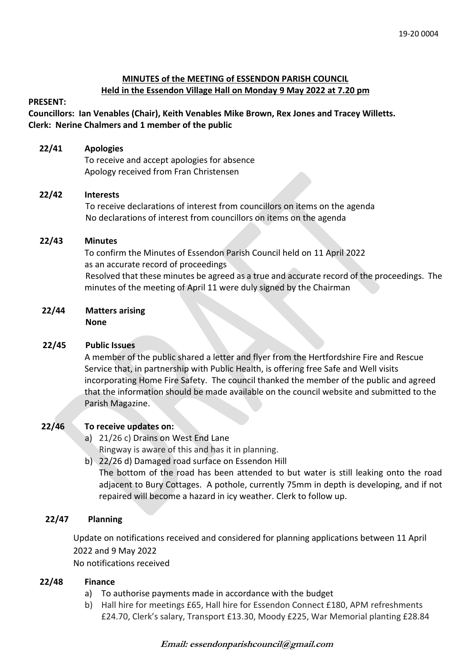# **MINUTES of the MEETING of ESSENDON PARISH COUNCIL Held in the Essendon Village Hall on Monday 9 May 2022 at 7.20 pm**

#### **PRESENT:**

**Councillors: Ian Venables (Chair), Keith Venables Mike Brown, Rex Jones and Tracey Willetts. Clerk: Nerine Chalmers and 1 member of the public**

#### **22/41 Apologies**

To receive and accept apologies for absence Apology received from Fran Christensen

## **22/42 Interests**

To receive declarations of interest from councillors on items on the agenda No declarations of interest from councillors on items on the agenda

## **22/43 Minutes**

 To confirm the Minutes of Essendon Parish Council held on 11 April 2022 as an accurate record of proceedings Resolved that these minutes be agreed as a true and accurate record of the proceedings. The minutes of the meeting of April 11 were duly signed by the Chairman

#### **22/44 Matters arising None**

#### **22/45 Public Issues**

A member of the public shared a letter and flyer from the Hertfordshire Fire and Rescue Service that, in partnership with Public Health, is offering free Safe and Well visits incorporating Home Fire Safety. The council thanked the member of the public and agreed that the information should be made available on the council website and submitted to the Parish Magazine.

# **22/46 To receive updates on:**

- a) 21/26 c) Drains on West End Lane Ringway is aware of this and has it in planning.
- b) 22/26 d) Damaged road surface on Essendon Hill The bottom of the road has been attended to but water is still leaking onto the road adjacent to Bury Cottages. A pothole, currently 75mm in depth is developing, and if not repaired will become a hazard in icy weather. Clerk to follow up.

# **22/47 Planning**

Update on notifications received and considered for planning applications between 11 April 2022 and 9 May 2022

No notifications received

# **22/48 Finance**

- a) To authorise payments made in accordance with the budget
- b) Hall hire for meetings £65, Hall hire for Essendon Connect £180, APM refreshments £24.70, Clerk's salary, Transport £13.30, Moody £225, War Memorial planting £28.84

# **Email: essendonparishcouncil@gmail.com**